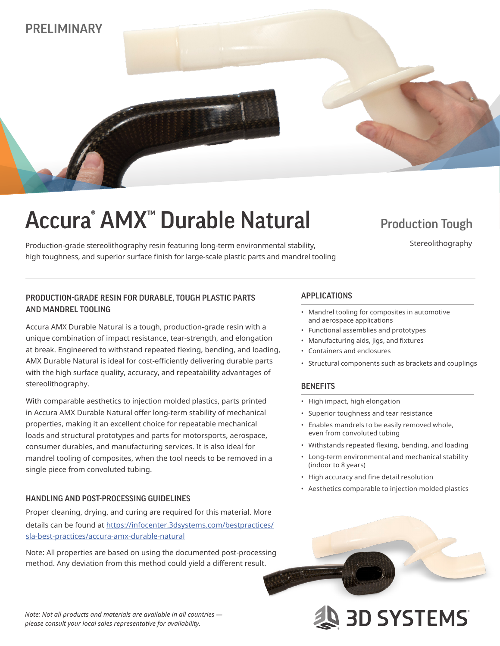# PRELIMINARY

# Accura<sup>®</sup> AMX<sup>™</sup> Durable Natural Production Tough

Production-grade stereolithography resin featuring long-term environmental stability, high toughness, and superior surface finish for large-scale plastic parts and mandrel tooling

Stereolithography

## APPLICATIONS PRODUCTION-GRADE RESIN FOR DURABLE, TOUGH PLASTIC PARTS AND MANDREL TOOLING

Accura AMX Durable Natural is a tough, production-grade resin with a unique combination of impact resistance, tear-strength, and elongation at break. Engineered to withstand repeated flexing, bending, and loading, AMX Durable Natural is ideal for cost-efficiently delivering durable parts with the high surface quality, accuracy, and repeatability advantages of stereolithography.

With comparable aesthetics to injection molded plastics, parts printed in Accura AMX Durable Natural offer long-term stability of mechanical properties, making it an excellent choice for repeatable mechanical loads and structural prototypes and parts for motorsports, aerospace, consumer durables, and manufacturing services. It is also ideal for mandrel tooling of composites, when the tool needs to be removed in a single piece from convoluted tubing.

### HANDLING AND POST-PROCESSING GUIDELINES

Proper cleaning, drying, and curing are required for this material. More details can be found at https://infocenter.3dsystems.com/bestpractices/ sla-best-practices/accura-amx-durable-natural

Note: All properties are based on using the documented post-processing method. Any deviation from this method could yield a different result.

- Mandrel tooling for composites in automotive and aerospace applications
- Functional assemblies and prototypes
- Manufacturing aids, jigs, and fixtures
- Containers and enclosures
- Structural components such as brackets and couplings

### **BENEFITS**

- High impact, high elongation
- Superior toughness and tear resistance
- Enables mandrels to be easily removed whole, even from convoluted tubing
- Withstands repeated flexing, bending, and loading
- Long-term environmental and mechanical stability (indoor to 8 years)
- High accuracy and fine detail resolution
- Aesthetics comparable to injection molded plastics



*Note: Not all products and materials are available in all countries please consult your local sales representative for availability.*